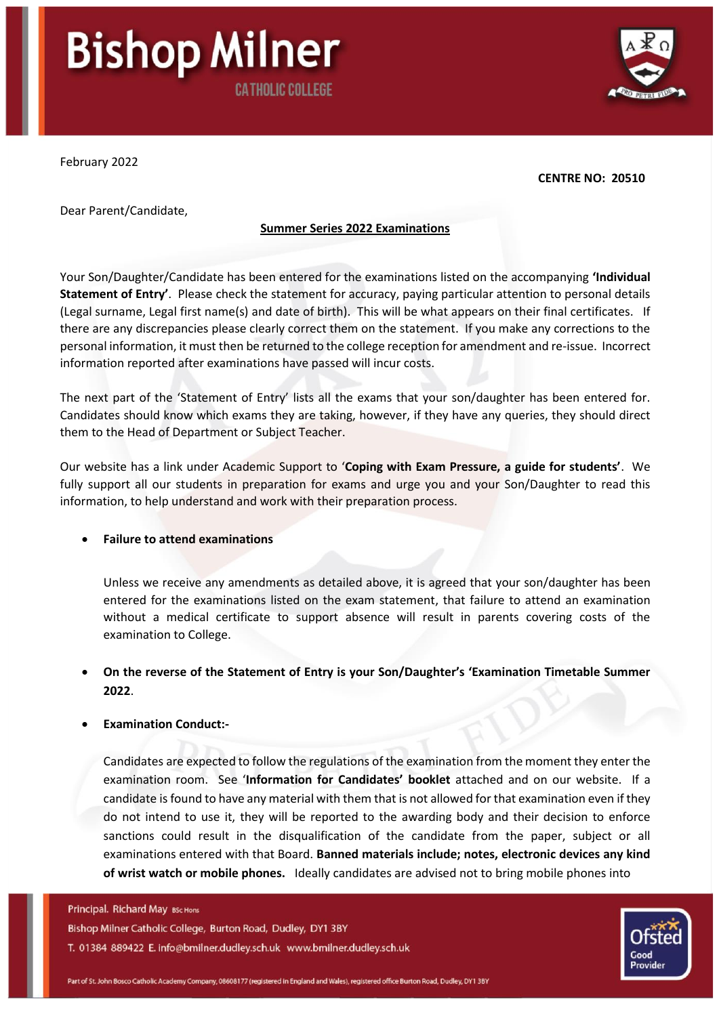# **Bishop Milner CATHOLIC COLLEGE**

February 2022

#### **CENTRE NO: 20510**

Dear Parent/Candidate,

## **Summer Series 2022 Examinations**

Your Son/Daughter/Candidate has been entered for the examinations listed on the accompanying **'Individual Statement of Entry'**. Please check the statement for accuracy, paying particular attention to personal details (Legal surname, Legal first name(s) and date of birth). This will be what appears on their final certificates. If there are any discrepancies please clearly correct them on the statement. If you make any corrections to the personal information, it must then be returned to the college reception for amendment and re-issue. Incorrect information reported after examinations have passed will incur costs.

The next part of the 'Statement of Entry' lists all the exams that your son/daughter has been entered for. Candidates should know which exams they are taking, however, if they have any queries, they should direct them to the Head of Department or Subject Teacher.

Our website has a link under Academic Support to '**Coping with Exam Pressure, a guide for students'**. We fully support all our students in preparation for exams and urge you and your Son/Daughter to read this information, to help understand and work with their preparation process.

# • **Failure to attend examinations**

Unless we receive any amendments as detailed above, it is agreed that your son/daughter has been entered for the examinations listed on the exam statement, that failure to attend an examination without a medical certificate to support absence will result in parents covering costs of the examination to College.

• **On the reverse of the Statement of Entry is your Son/Daughter's 'Examination Timetable Summer 2022**.

# • **Examination Conduct:-**

Candidates are expected to follow the regulations of the examination from the moment they enter the examination room. See '**Information for Candidates' booklet** attached and on our website. If a candidate is found to have any material with them that is not allowed for that examination even if they do not intend to use it, they will be reported to the awarding body and their decision to enforce sanctions could result in the disqualification of the candidate from the paper, subject or all examinations entered with that Board. **Banned materials include; notes, electronic devices any kind of wrist watch or mobile phones.** Ideally candidates are advised not to bring mobile phones into

#### Principal. Richard May BSc Hons

Bishop Milner Catholic College, Burton Road, Dudley, DY1 3BY T. 01384 889422 E. info@bmilner.dudley.sch.uk www.bmilner.dudley.sch.uk